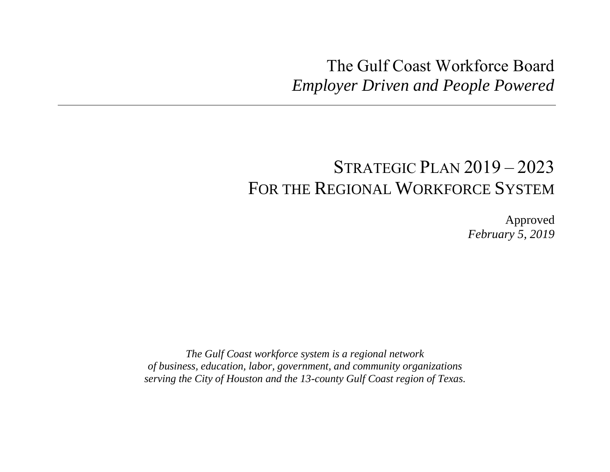# The Gulf Coast Workforce Board *Employer Driven and People Powered*

# STRATEGIC PLAN 2019 – 2023 FOR THE REGIONAL WORKFORCE SYSTEM

Approved *February 5, 2019*

*The Gulf Coast workforce system is a regional network of business, education, labor, government, and community organizations serving the City of Houston and the 13-county Gulf Coast region of Texas.*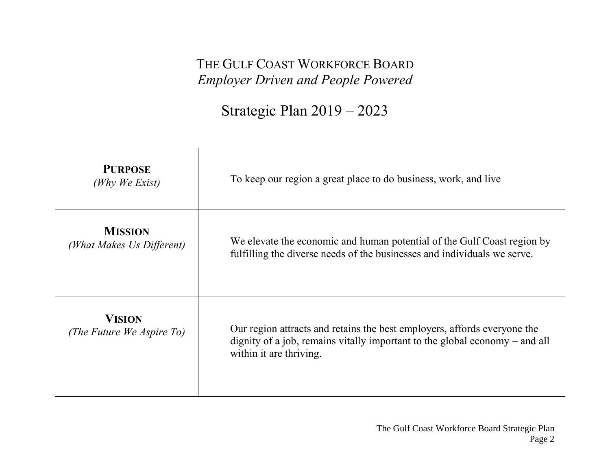# THE GULF COAST WORKFORCE BOARD *Employer Driven and People Powered*

# Strategic Plan 2019 – 2023

| <b>PURPOSE</b><br>(Why We Exist)            | To keep our region a great place to do business, work, and live                                                                                                                      |
|---------------------------------------------|--------------------------------------------------------------------------------------------------------------------------------------------------------------------------------------|
| <b>MISSION</b><br>(What Makes Us Different) | We elevate the economic and human potential of the Gulf Coast region by<br>fulfilling the diverse needs of the businesses and individuals we serve.                                  |
| <b>VISION</b><br>(The Future We Aspire To)  | Our region attracts and retains the best employers, affords everyone the<br>dignity of a job, remains vitally important to the global economy $-$ and all<br>within it are thriving. |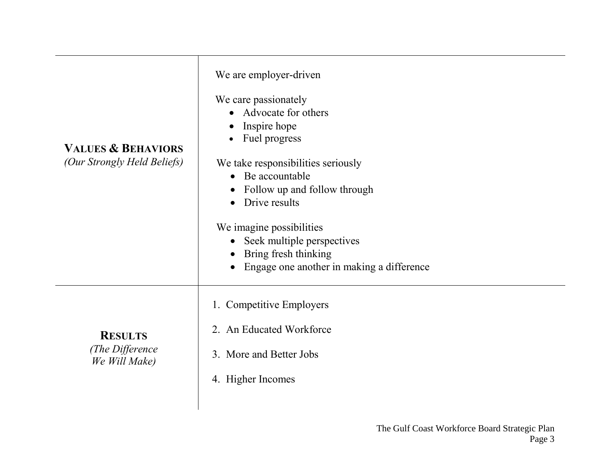| <b>VALUES &amp; BEHAVIORS</b><br>(Our Strongly Held Beliefs) | We are employer-driven<br>We care passionately<br>Advocate for others<br>Inspire hope<br>Fuel progress<br>We take responsibilities seriously<br>Be accountable<br>$\bullet$<br>Follow up and follow through<br>Drive results<br>We imagine possibilities<br>Seek multiple perspectives<br>Bring fresh thinking<br>Engage one another in making a difference |
|--------------------------------------------------------------|-------------------------------------------------------------------------------------------------------------------------------------------------------------------------------------------------------------------------------------------------------------------------------------------------------------------------------------------------------------|
| <b>RESULTS</b><br>(The Difference<br>We Will Make)           | 1. Competitive Employers<br>2. An Educated Workforce<br>3. More and Better Jobs<br>4. Higher Incomes                                                                                                                                                                                                                                                        |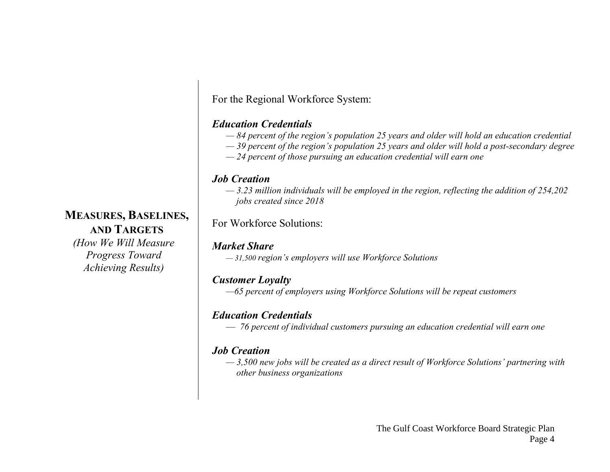For the Regional Workforce System:

#### *Education Credentials*

- *— 84 percent of the region's population 25 years and older will hold an education credential*
- *— 39 percent of the region's population 25 years and older will hold a post-secondary degree*
- *— 24 percent of those pursuing an education credential will earn one*

#### *Job Creation*

*— 3.23 million individuals will be employed in the region, reflecting the addition of 254,202 jobs created since 2018*

For Workforce Solutions:

#### *Market Share*

*— 31,500 region's employers will use Workforce Solutions*

#### *Customer Loyalty*

*—65 percent of employers using Workforce Solutions will be repeat customers* 

#### *Education Credentials*

— *76 percent of individual customers pursuing an education credential will earn one* 

### *Job Creation*

*— 3,500 new jobs will be created as a direct result of Workforce Solutions' partnering with other business organizations*

# **MEASURES, BASELINES,**

**AND TARGETS** *(How We Will Measure Progress Toward Achieving Results)*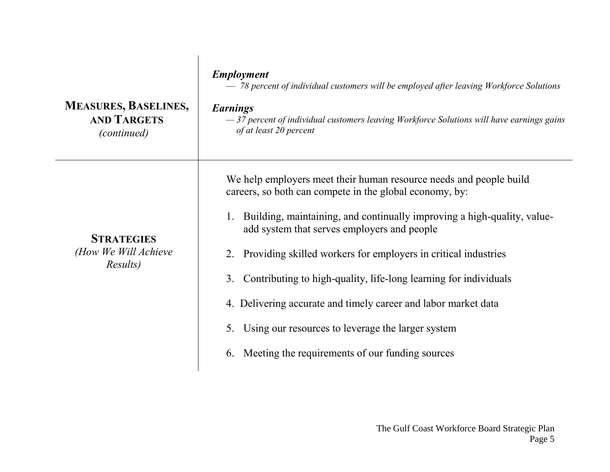| <b>MEASURES, BASELINES,</b><br><b>AND TARGETS</b><br><i>(continued)</i> | <b>Employment</b><br>- 78 percent of individual customers will be employed after leaving Workforce Solutions<br><b>Earnings</b><br>-37 percent of individual customers leaving Workforce Solutions will have earnings gains<br>of at least 20 percent                                                                                                                                                                                                                                                                                                                                           |
|-------------------------------------------------------------------------|-------------------------------------------------------------------------------------------------------------------------------------------------------------------------------------------------------------------------------------------------------------------------------------------------------------------------------------------------------------------------------------------------------------------------------------------------------------------------------------------------------------------------------------------------------------------------------------------------|
| <b>STRATEGIES</b><br>(How We Will Achieve<br>Results)                   | We help employers meet their human resource needs and people build<br>careers, so both can compete in the global economy, by:<br>1. Building, maintaining, and continually improving a high-quality, value-<br>add system that serves employers and people<br>2. Providing skilled workers for employers in critical industries<br>Contributing to high-quality, life-long learning for individuals<br>3.<br>4. Delivering accurate and timely career and labor market data<br>Using our resources to leverage the larger system<br>5.<br>Meeting the requirements of our funding sources<br>6. |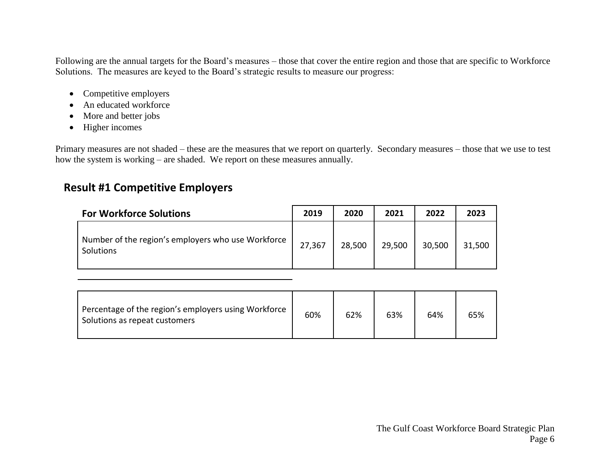Following are the annual targets for the Board's measures – those that cover the entire region and those that are specific to Workforce Solutions. The measures are keyed to the Board's strategic results to measure our progress:

- Competitive employers
- An educated workforce
- More and better jobs
- Higher incomes

Primary measures are not shaded – these are the measures that we report on quarterly. Secondary measures – those that we use to test how the system is working – are shaded. We report on these measures annually.

## **Result #1 Competitive Employers**

| <b>For Workforce Solutions</b>                                  | 2019   | 2020   | 2021   | 2022   | 2023   |
|-----------------------------------------------------------------|--------|--------|--------|--------|--------|
| Number of the region's employers who use Workforce<br>Solutions | 27,367 | 28,500 | 29,500 | 30,500 | 31,500 |

| Percentage of the region's employers using Workforce<br>Solutions as repeat customers | 60% | 62% | 63% | 64% | 65% |
|---------------------------------------------------------------------------------------|-----|-----|-----|-----|-----|
|---------------------------------------------------------------------------------------|-----|-----|-----|-----|-----|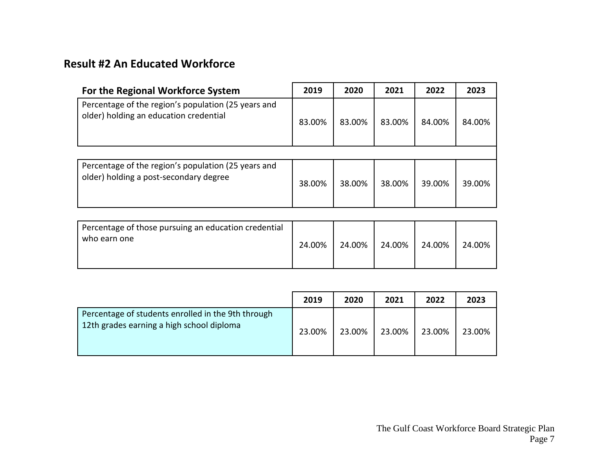### **Result #2 An Educated Workforce**

| For the Regional Workforce System                                                             | 2019   | 2020   | 2021   | 2022   | 2023   |
|-----------------------------------------------------------------------------------------------|--------|--------|--------|--------|--------|
| Percentage of the region's population (25 years and<br>older) holding an education credential | 83.00% | 83.00% | 83.00% | 84.00% | 84.00% |
|                                                                                               |        |        |        |        |        |
| Percentage of the region's population (25 years and<br>older) holding a post-secondary degree | 38.00% | 38.00% | 38.00% | 39.00% | 39.00% |

| Percentage of those pursuing an education credential<br>who earn one | 24.00% | 24.00% | 24.00% | 24.00% | 24.00% |
|----------------------------------------------------------------------|--------|--------|--------|--------|--------|
|----------------------------------------------------------------------|--------|--------|--------|--------|--------|

|                                                                                                 | 2019   | 2020   | 2021   | 2022   | 2023   |
|-------------------------------------------------------------------------------------------------|--------|--------|--------|--------|--------|
| Percentage of students enrolled in the 9th through<br>12th grades earning a high school diploma | 23.00% | 23.00% | 23.00% | 23.00% | 23.00% |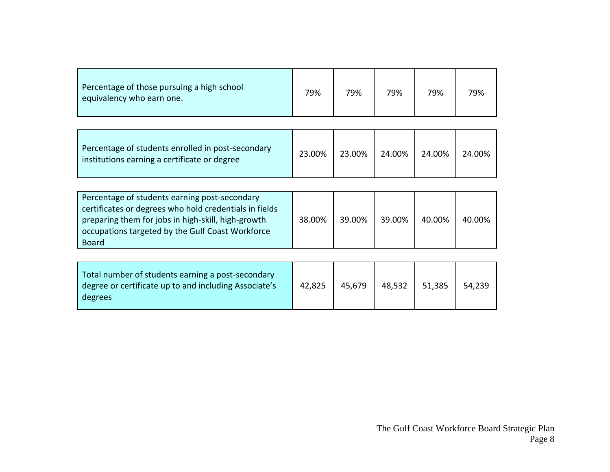| Percentage of those pursuing a high school<br>equivalency who earn one. | 79% | 79% | 79% | 79% | 79% |
|-------------------------------------------------------------------------|-----|-----|-----|-----|-----|
|-------------------------------------------------------------------------|-----|-----|-----|-----|-----|

| Percentage of students enrolled in post-secondary<br>institutions earning a certificate or degree | 23.00% | 23.00% | 24.00% | 24.00% | 24.00% |
|---------------------------------------------------------------------------------------------------|--------|--------|--------|--------|--------|
|---------------------------------------------------------------------------------------------------|--------|--------|--------|--------|--------|

| Percentage of students earning post-secondary<br>certificates or degrees who hold credentials in fields<br>preparing them for jobs in high-skill, high-growth<br>occupations targeted by the Gulf Coast Workforce<br><b>Board</b> | 38.00% | 39.00% | 39.00% | 40.00% | 40.00% |
|-----------------------------------------------------------------------------------------------------------------------------------------------------------------------------------------------------------------------------------|--------|--------|--------|--------|--------|
|-----------------------------------------------------------------------------------------------------------------------------------------------------------------------------------------------------------------------------------|--------|--------|--------|--------|--------|

| Total number of students earning a post-secondary<br>degree or certificate up to and including Associate's<br>degrees | 42,825 | 45,679 | 48,532 | 51,385 | 54,239 |
|-----------------------------------------------------------------------------------------------------------------------|--------|--------|--------|--------|--------|
|-----------------------------------------------------------------------------------------------------------------------|--------|--------|--------|--------|--------|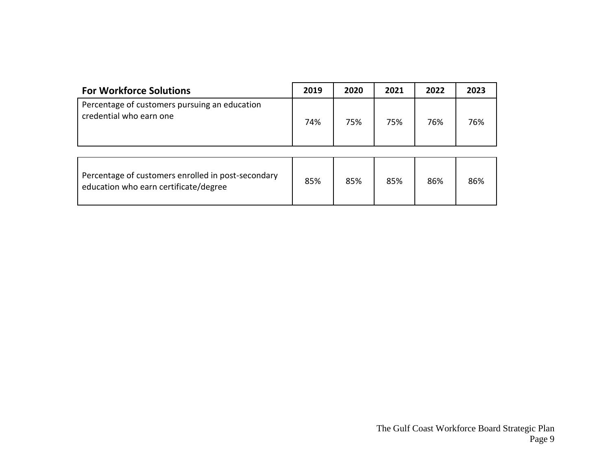| <b>For Workforce Solutions</b>                                                              | 2019 | 2020 | 2021 | 2022 | 2023 |
|---------------------------------------------------------------------------------------------|------|------|------|------|------|
| Percentage of customers pursuing an education<br>credential who earn one                    | 74%  | 75%  | 75%  | 76%  | 76%  |
| Percentage of customers enrolled in post-secondary<br>education who earn certificate/degree | 85%  | 85%  | 85%  | 86%  | 86%  |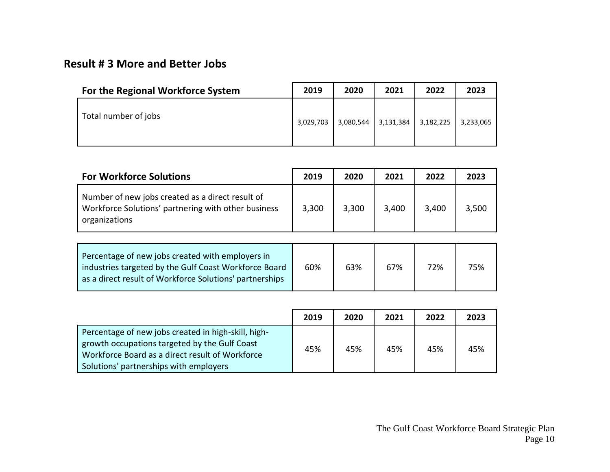### **Result # 3 More and Better Jobs**

| For the Regional Workforce System | 2019      | 2020      | 2021      | 2022      | 2023      |
|-----------------------------------|-----------|-----------|-----------|-----------|-----------|
| Total number of jobs              | 3,029,703 | 3,080,544 | 3,131,384 | 3,182,225 | 3,233,065 |

| <b>For Workforce Solutions</b>                                                                                           | 2019  | 2020  | 2021  | 2022  | 2023  |
|--------------------------------------------------------------------------------------------------------------------------|-------|-------|-------|-------|-------|
| Number of new jobs created as a direct result of<br>Workforce Solutions' partnering with other business<br>organizations | 3,300 | 3,300 | 3,400 | 3,400 | 3,500 |
|                                                                                                                          |       |       |       |       |       |
| Percentage of new jobs created with employers in                                                                         |       |       |       |       |       |

| I FEILEIRARE OI HEW JODS CIEALEU WILII EMPIOYETS IN     |     |     |     |     |     |
|---------------------------------------------------------|-----|-----|-----|-----|-----|
| industries targeted by the Gulf Coast Workforce Board   | 60% | 63% | 67% | 72% | 75% |
| as a direct result of Workforce Solutions' partnerships |     |     |     |     |     |

|                                                                                                                                                                                                   | 2019 | 2020 | 2021 | 2022 | 2023 |
|---------------------------------------------------------------------------------------------------------------------------------------------------------------------------------------------------|------|------|------|------|------|
| Percentage of new jobs created in high-skill, high-<br>growth occupations targeted by the Gulf Coast<br>Workforce Board as a direct result of Workforce<br>Solutions' partnerships with employers | 45%  | 45%  | 45%  | 45%  | 45%  |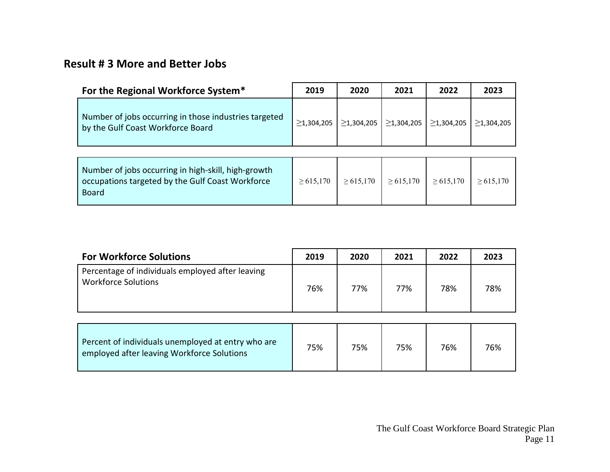### **Result # 3 More and Better Jobs**

| For the Regional Workforce System*                                                                                      | 2019             | 2020             | 2021             | 2022             | 2023             |
|-------------------------------------------------------------------------------------------------------------------------|------------------|------------------|------------------|------------------|------------------|
| Number of jobs occurring in those industries targeted<br>by the Gulf Coast Workforce Board                              | $\geq$ 1,304,205 | $\geq$ 1,304,205 | $\geq$ 1,304,205 | $\geq$ 1,304,205 | $\geq$ 1,304,205 |
|                                                                                                                         |                  |                  |                  |                  |                  |
| Number of jobs occurring in high-skill, high-growth<br>occupations targeted by the Gulf Coast Workforce<br><b>Board</b> | $\geq 615,170$   | $\geq 615,170$   | $\geq 615,170$   | $\geq 615,170$   | $\geq 615,170$   |

| <b>For Workforce Solutions</b>                                                 | 2019 | 2020 | 2021 | 2022 | 2023 |
|--------------------------------------------------------------------------------|------|------|------|------|------|
| Percentage of individuals employed after leaving<br><b>Workforce Solutions</b> | 76%  | 77%  | 77%  | 78%  | 78%  |

| Percent of individuals unemployed at entry who are<br>employed after leaving Workforce Solutions | 75% | 75% | 75% | 76% | 76% |
|--------------------------------------------------------------------------------------------------|-----|-----|-----|-----|-----|
|--------------------------------------------------------------------------------------------------|-----|-----|-----|-----|-----|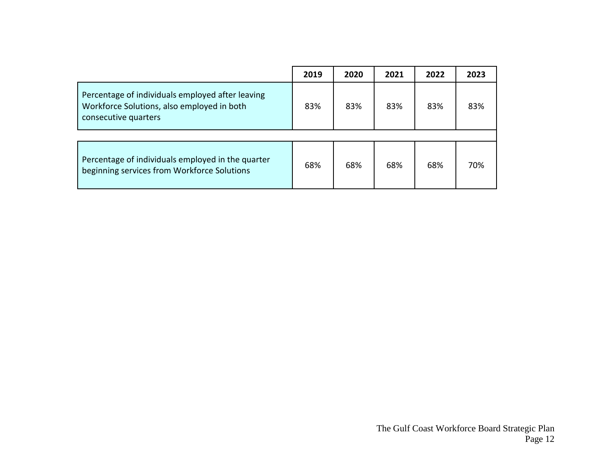|                                                                                                                        | 2019 | 2020 | 2021 | 2022 | 2023 |
|------------------------------------------------------------------------------------------------------------------------|------|------|------|------|------|
| Percentage of individuals employed after leaving<br>Workforce Solutions, also employed in both<br>consecutive quarters | 83%  | 83%  | 83%  | 83%  | 83%  |
|                                                                                                                        |      |      |      |      |      |
| Percentage of individuals employed in the quarter<br>beginning services from Workforce Solutions                       | 68%  | 68%  | 68%  | 68%  | 70%  |